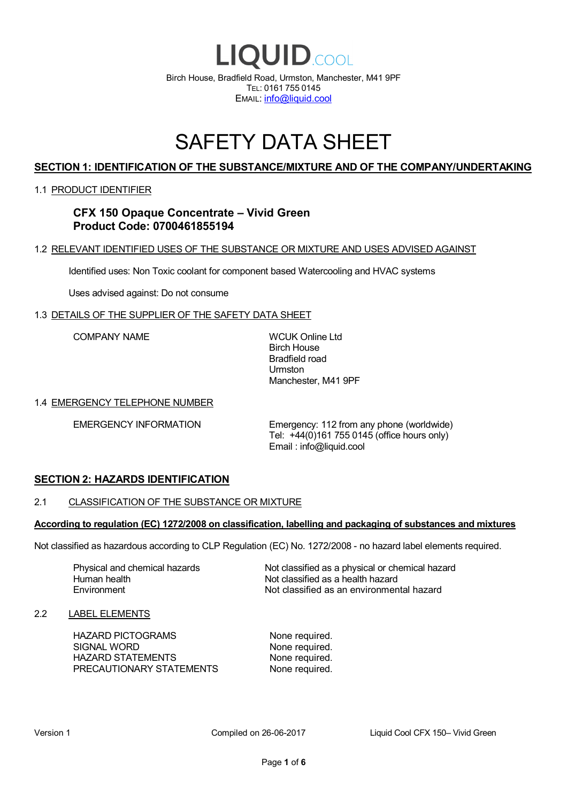

# SAFETY DATA SHEET

# **SECTION 1: IDENTIFICATION OF THE SUBSTANCE/MIXTURE AND OF THE COMPANY/UNDERTAKING**

### 1.1 PRODUCT IDENTIFIER

# **CFX 150 Opaque Concentrate – Vivid Green Product Code: 0700461855194**

# 1.2 RELEVANT IDENTIFIED USES OF THE SUBSTANCE OR MIXTURE AND USES ADVISED AGAINST

Identified uses: Non Toxic coolant for component based Watercooling and HVAC systems

Uses advised against: Do not consume

## 1.3 DETAILS OF THE SUPPLIER OF THE SAFETY DATA SHEET

COMPANY NAME WCUK Online Ltd

Birch House Bradfield road Urmston Manchester, M41 9PF

### 1.4 EMERGENCY TELEPHONE NUMBER

EMERGENCY INFORMATION Emergency: 112 from any phone (worldwide) Tel: +44(0)161 755 0145 (office hours only) Email : info@liquid.cool

# **SECTION 2: HAZARDS IDENTIFICATION**

### 2.1 CLASSIFICATION OF THE SUBSTANCE OR MIXTURE

### **According to regulation (EC) 1272/2008 on classification, labelling and packaging of substances and mixtures**

Not classified as hazardous according to CLP Regulation (EC) No. 1272/2008 - no hazard label elements required.

Human health **Environment** 

Physical and chemical hazards Not classified as a physical or chemical hazard Not classified as a health hazard Not classified as an environmental hazard

### 2.2 LABEL ELEMENTS

HAZARD PICTOGRAMS None required. SIGNAL WORD None required. HAZARD STATEMENTS None required. PRECAUTIONARY STATEMENTS None required.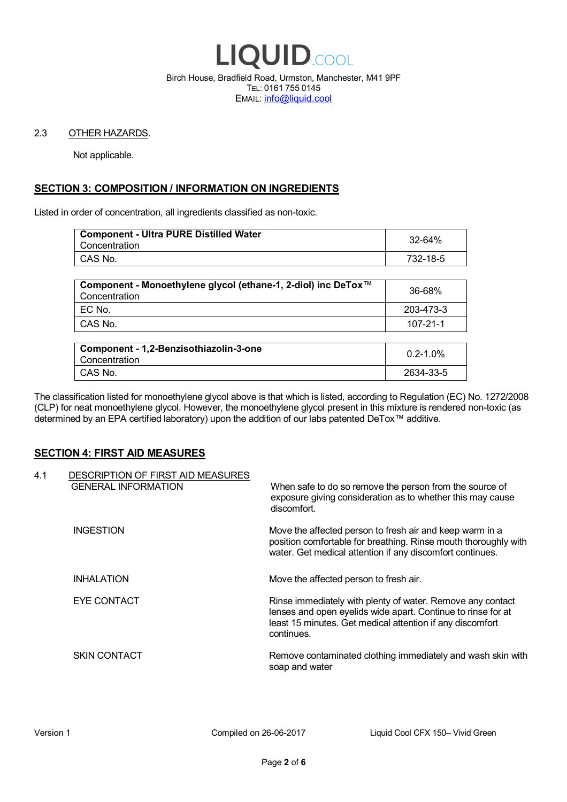

Birch House, Bradfield Road, Urmston, Manchester, M41 9PF TEL: 0161 755 0145 EMAIL: info@liquid.cool

### 2.3 OTHER HAZARDS.

Not applicable.

# **SECTION 3: COMPOSITION / INFORMATION ON INGREDIENTS**

Listed in order of concentration, all ingredients classified as non-toxic.

| <b>Component - Ultra PURE Distilled Water</b><br>Concentration | 32-64%   |
|----------------------------------------------------------------|----------|
| CAS No.                                                        | 732-18-5 |
|                                                                |          |

| Component - Monoethylene glycol (ethane-1, 2-diol) inc DeTox™<br>Concentration | 36-68%    |
|--------------------------------------------------------------------------------|-----------|
| ! EC No.                                                                       | 203-473-3 |
| I CAS No.                                                                      | 107-21-1  |

| Component - 1,2-Benzisothiazolin-3-one<br>Concentration | $0.2 - 1.0\%$ |
|---------------------------------------------------------|---------------|
| CAS No.                                                 | 2634-33-5     |

The classification listed for monoethylene glycol above is that which is listed, according to Regulation (EC) No. 1272/2008 (CLP) for neat monoethylene glycol. However, the monoethylene glycol present in this mixture is rendered non-toxic (as determined by an EPA certified laboratory) upon the addition of our labs patented DeTox™ additive.

### **SECTION 4: FIRST AID MEASURES**

| 4.1 | DESCRIPTION OF FIRST AID MEASURES<br><b>GENERAL INFORMATION</b> | When safe to do so remove the person from the source of<br>exposure giving consideration as to whether this may cause<br>discomfort.                                                                  |
|-----|-----------------------------------------------------------------|-------------------------------------------------------------------------------------------------------------------------------------------------------------------------------------------------------|
|     | <b>INGESTION</b>                                                | Move the affected person to fresh air and keep warm in a<br>position comfortable for breathing. Rinse mouth thoroughly with<br>water. Get medical attention if any discomfort continues.              |
|     | <b>INHALATION</b>                                               | Move the affected person to fresh air.                                                                                                                                                                |
|     | EYE CONTACT                                                     | Rinse immediately with plenty of water. Remove any contact<br>lenses and open eyelids wide apart. Continue to rinse for at<br>least 15 minutes. Get medical attention if any discomfort<br>continues. |
|     | <b>SKIN CONTACT</b>                                             | Remove contaminated clothing immediately and wash skin with<br>soap and water                                                                                                                         |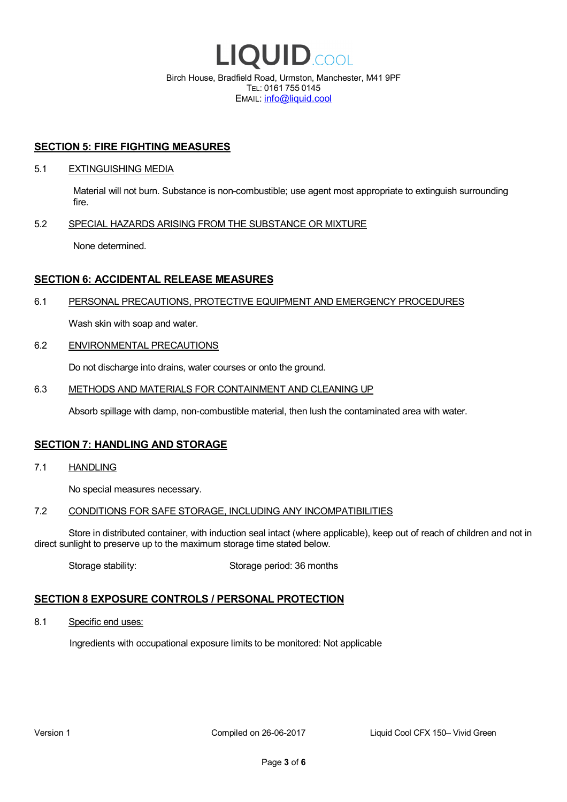

EMAIL: info@liquid.cool

### **SECTION 5: FIRE FIGHTING MEASURES**

### 5.1 EXTINGUISHING MEDIA

Material will not burn. Substance is non-combustible; use agent most appropriate to extinguish surrounding fire.

### 5.2 SPECIAL HAZARDS ARISING FROM THE SUBSTANCE OR MIXTURE

None determined.

## **SECTION 6: ACCIDENTAL RELEASE MEASURES**

### 6.1 PERSONAL PRECAUTIONS, PROTECTIVE EQUIPMENT AND EMERGENCY PROCEDURES

Wash skin with soap and water.

### 6.2 ENVIRONMENTAL PRECAUTIONS

Do not discharge into drains, water courses or onto the ground.

### 6.3 METHODS AND MATERIALS FOR CONTAINMENT AND CLEANING UP

Absorb spillage with damp, non-combustible material, then lush the contaminated area with water.

### **SECTION 7: HANDLING AND STORAGE**

7.1 HANDLING

No special measures necessary.

### 7.2 CONDITIONS FOR SAFE STORAGE, INCLUDING ANY INCOMPATIBILITIES

Store in distributed container, with induction seal intact (where applicable), keep out of reach of children and not in direct sunlight to preserve up to the maximum storage time stated below.

Storage stability: Storage period: 36 months

# **SECTION 8 EXPOSURE CONTROLS / PERSONAL PROTECTION**

8.1 Specific end uses:

Ingredients with occupational exposure limits to be monitored: Not applicable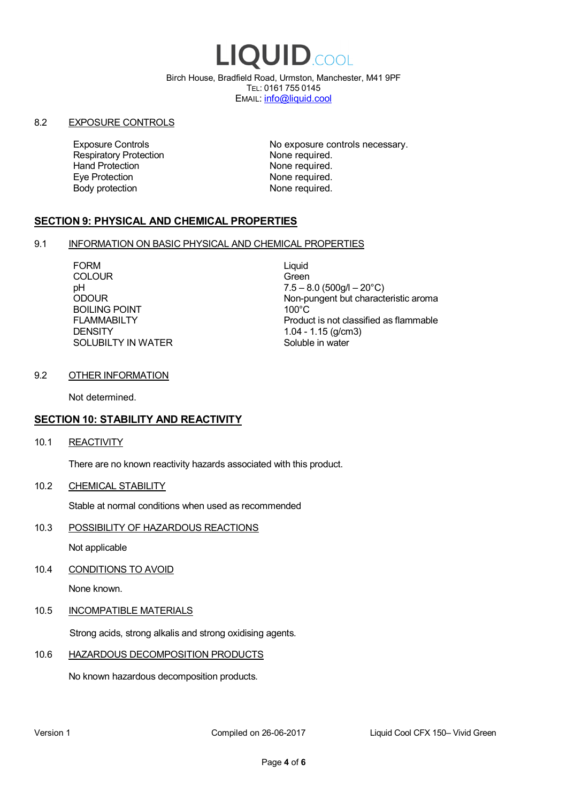# LIQUID.COOL

Birch House, Bradfield Road, Urmston, Manchester, M41 9PF TEL: 0161 755 0145 EMAIL: info@liquid.cool

### 8.2 EXPOSURE CONTROLS

Respiratory Protection **None required.**<br>
Hand Protection **None required.** Eye Protection **None required.** Body protection None required.

Exposure Controls **Exposure Controls** No exposure controls necessary. None required.

# **SECTION 9: PHYSICAL AND CHEMICAL PROPERTIES**

### 9.1 INFORMATION ON BASIC PHYSICAL AND CHEMICAL PROPERTIES

FORM Liquid COLOUR Green BOILING POINT FLAMMABILTY **DENSITY** SOLUBILTY IN WATER

pH<br>
DDOUR
20°C)
2000UR
2000UR
2000UR
2000UR Non-pungent but characteristic aroma 100°C Product is not classified as flammable 1.04 - 1.15 (g/cm3) Soluble in water

### 9.2 OTHER INFORMATION

Not determined.

# **SECTION 10: STABILITY AND REACTIVITY**

10.1 REACTIVITY

There are no known reactivity hazards associated with this product.

10.2 CHEMICAL STABILITY

Stable at normal conditions when used as recommended

10.3 POSSIBILITY OF HAZARDOUS REACTIONS

Not applicable

10.4 CONDITIONS TO AVOID

None known.

### 10.5 INCOMPATIBLE MATERIALS

Strong acids, strong alkalis and strong oxidising agents.

### 10.6 HAZARDOUS DECOMPOSITION PRODUCTS

No known hazardous decomposition products.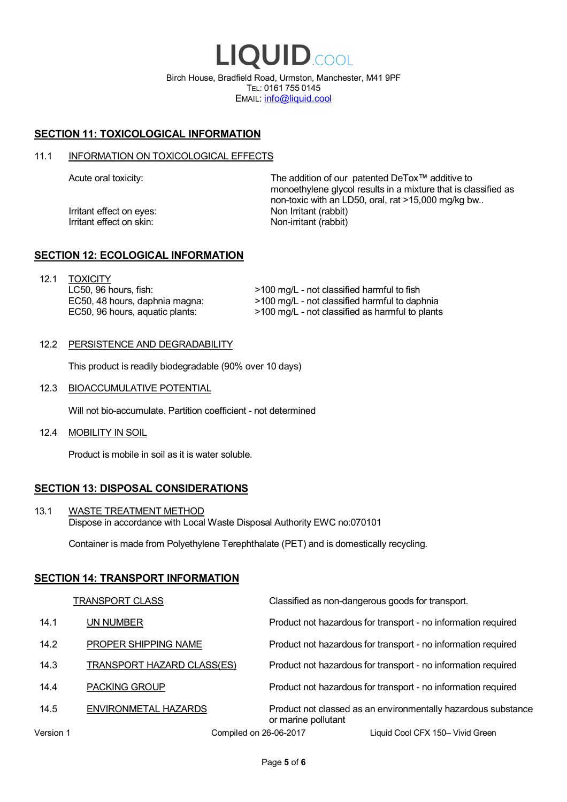LIQUID.COOL Birch House, Bradfield Road, Urmston, Manchester, M41 9PF TEL: 0161 755 0145 EMAIL: info@liquid.cool

# **SECTION 11: TOXICOLOGICAL INFORMATION**

### 11.1 INFORMATION ON TOXICOLOGICAL EFFECTS

Irritant effect on eves: Non Irritant (rabbit) Irritant effect on skin: Non-irritant (rabbit)

Acute oral toxicity: The addition of our patented DeTox™ additive to monoethylene glycol results in a mixture that is classified as non-toxic with an LD50, oral, rat >15,000 mg/kg bw..

### **SECTION 12: ECOLOGICAL INFORMATION**

12.1 TOXICITY LC50, 96 hours, fish: EC50, 48 hours, daphnia magna: EC50, 96 hours, aquatic plants:

>100 mg/L - not classified harmful to fish >100 mg/L - not classified harmful to daphnia >100 mg/L - not classified as harmful to plants

### 12.2 PERSISTENCE AND DEGRADABILITY

This product is readily biodegradable (90% over 10 days)

12.3 BIOACCUMULATIVE POTENTIAL

Will not bio-accumulate. Partition coefficient - not determined

12.4 MOBILITY IN SOIL

Product is mobile in soil as it is water soluble.

# **SECTION 13: DISPOSAL CONSIDERATIONS**

13.1 WASTE TREATMENT METHOD Dispose in accordance with Local Waste Disposal Authority EWC no:070101

Container is made from Polyethylene Terephthalate (PET) and is domestically recycling.

### **SECTION 14: TRANSPORT INFORMATION**

|           | <b>TRANSPORT CLASS</b>            | Classified as non-dangerous goods for transport.                                     |
|-----------|-----------------------------------|--------------------------------------------------------------------------------------|
| 14.1      | UN NUMBER                         | Product not hazardous for transport - no information required                        |
| 14.2      | PROPER SHIPPING NAME              | Product not hazardous for transport - no information required                        |
| 14.3      | <b>TRANSPORT HAZARD CLASS(ES)</b> | Product not hazardous for transport - no information required                        |
| 14.4      | <b>PACKING GROUP</b>              | Product not hazardous for transport - no information required                        |
| 14.5      | ENVIRONMETAL HAZARDS              | Product not classed as an environmentally hazardous substance<br>or marine pollutant |
| Version 1 | Compiled on 26-06-2017            | Liquid Cool CFX 150- Vivid Green                                                     |